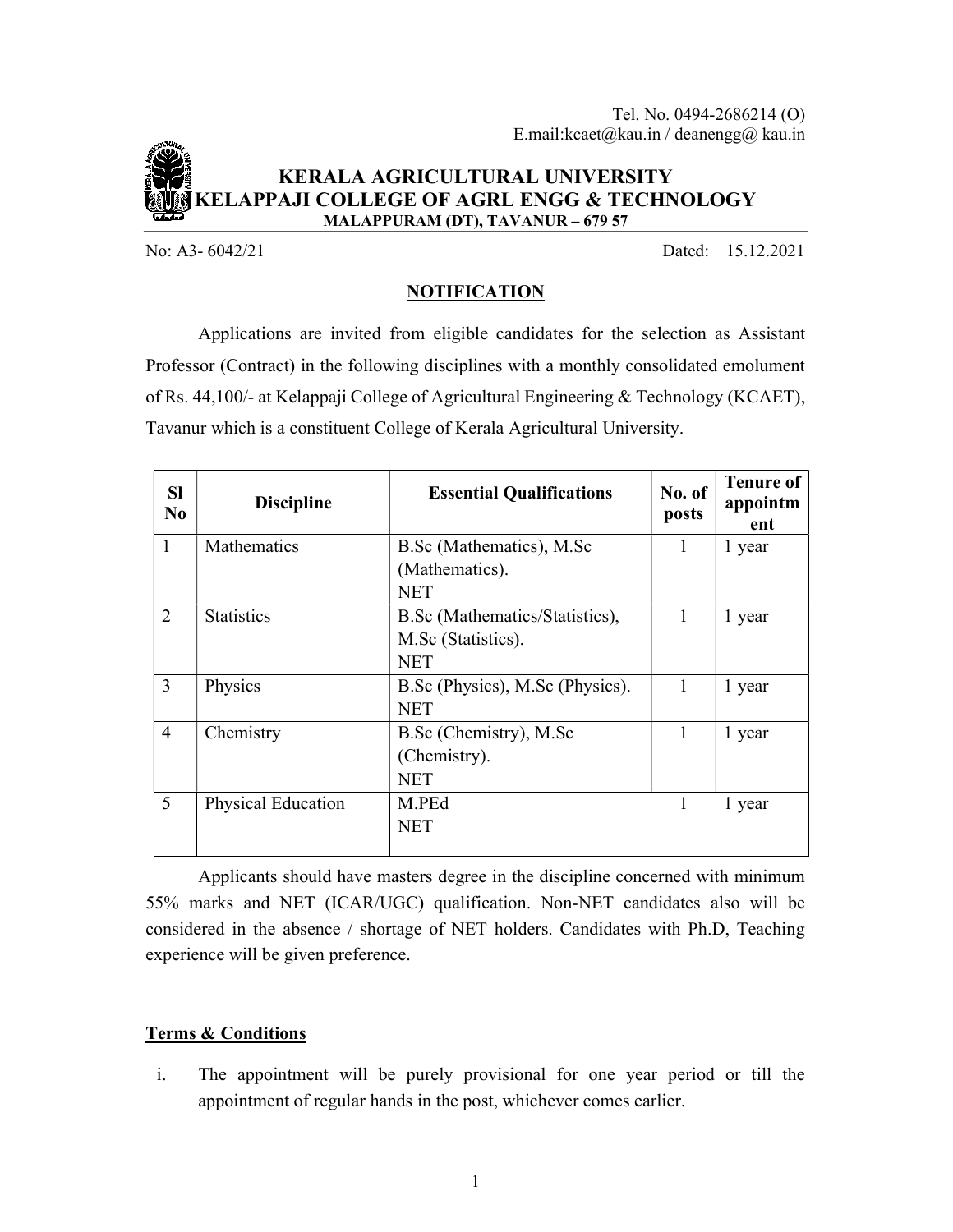

### KERALA AGRICULTURAL UNIVERSITY KELAPPAJI COLLEGE OF AGRL ENGG & TECHNOLOGY MALAPPURAM (DT), TAVANUR – 679 57

No: A3- 6042/21 Dated: 15.12.2021

# NOTIFICATION

 Applications are invited from eligible candidates for the selection as Assistant Professor (Contract) in the following disciplines with a monthly consolidated emolument of Rs. 44,100/- at Kelappaji College of Agricultural Engineering & Technology (KCAET), Tavanur which is a constituent College of Kerala Agricultural University.

| <b>SI</b><br>N <sub>0</sub> | <b>Discipline</b>         | <b>Essential Qualifications</b> | No. of<br>posts | <b>Tenure of</b><br>appointm<br>ent |
|-----------------------------|---------------------------|---------------------------------|-----------------|-------------------------------------|
| $\mathbf{1}$                | <b>Mathematics</b>        | B.Sc (Mathematics), M.Sc        | 1               | 1 year                              |
|                             |                           | (Mathematics).                  |                 |                                     |
|                             |                           | <b>NET</b>                      |                 |                                     |
| 2                           | <b>Statistics</b>         | B.Sc (Mathematics/Statistics),  | 1               | 1 year                              |
|                             |                           | M.Sc (Statistics).              |                 |                                     |
|                             |                           | <b>NET</b>                      |                 |                                     |
| $\overline{3}$              | Physics                   | B.Sc (Physics), M.Sc (Physics). | 1               | 1 year                              |
|                             |                           | <b>NET</b>                      |                 |                                     |
| $\overline{4}$              | Chemistry                 | B.Sc (Chemistry), M.Sc          | 1               | 1 year                              |
|                             |                           | (Chemistry).                    |                 |                                     |
|                             |                           | <b>NET</b>                      |                 |                                     |
| 5                           | <b>Physical Education</b> | M.PEd                           | 1               | 1 year                              |
|                             |                           | <b>NET</b>                      |                 |                                     |
|                             |                           |                                 |                 |                                     |

 Applicants should have masters degree in the discipline concerned with minimum 55% marks and NET (ICAR/UGC) qualification. Non-NET candidates also will be considered in the absence / shortage of NET holders. Candidates with Ph.D, Teaching experience will be given preference.

### Terms & Conditions

i. The appointment will be purely provisional for one year period or till the appointment of regular hands in the post, whichever comes earlier.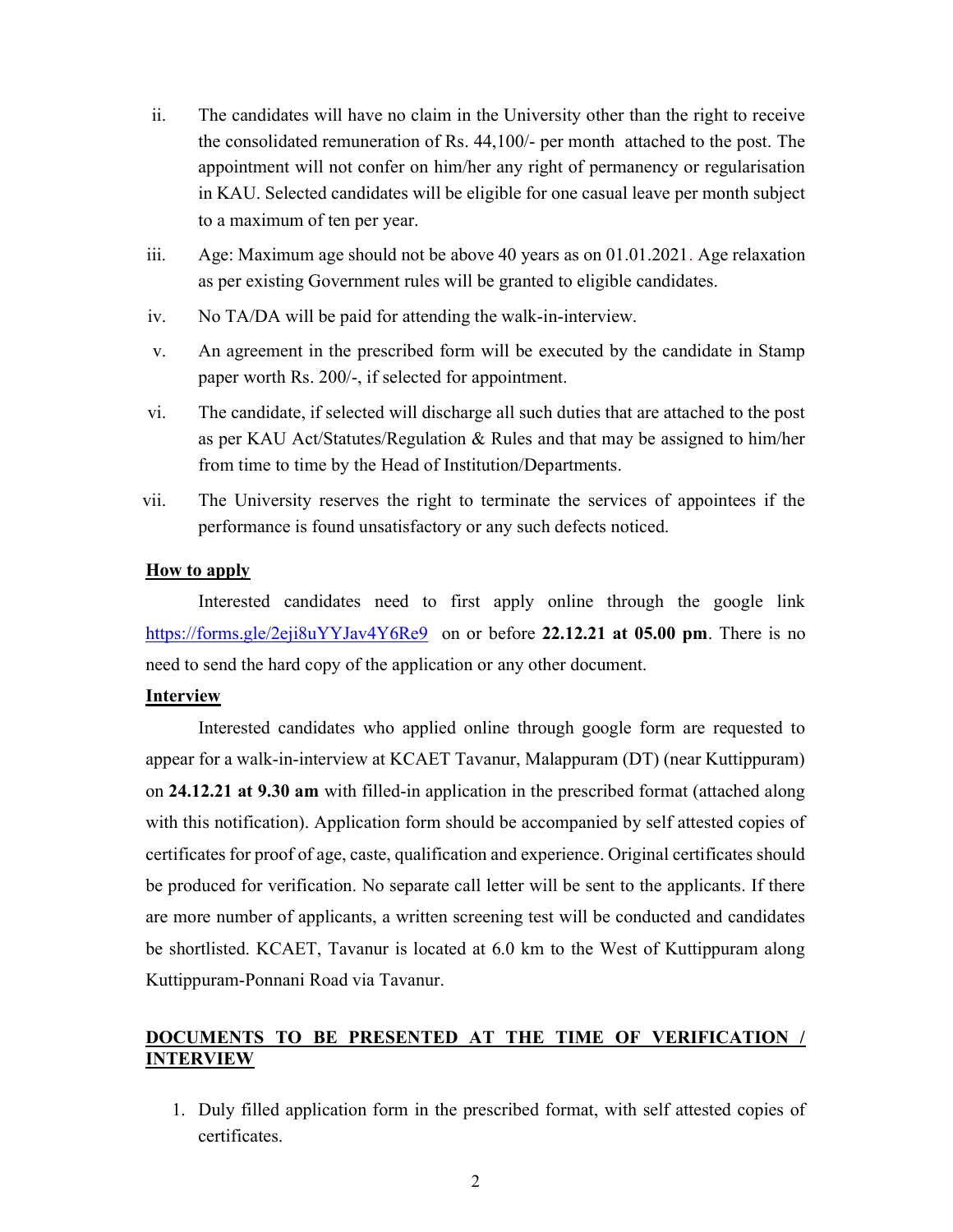- ii. The candidates will have no claim in the University other than the right to receive the consolidated remuneration of Rs. 44,100/- per month attached to the post. The appointment will not confer on him/her any right of permanency or regularisation in KAU. Selected candidates will be eligible for one casual leave per month subject to a maximum of ten per year.
- iii. Age: Maximum age should not be above 40 years as on 01.01.2021. Age relaxation as per existing Government rules will be granted to eligible candidates.
- iv. No TA/DA will be paid for attending the walk-in-interview.
- v. An agreement in the prescribed form will be executed by the candidate in Stamp paper worth Rs. 200/-, if selected for appointment.
- vi. The candidate, if selected will discharge all such duties that are attached to the post as per KAU Act/Statutes/Regulation & Rules and that may be assigned to him/her from time to time by the Head of Institution/Departments.
- vii. The University reserves the right to terminate the services of appointees if the performance is found unsatisfactory or any such defects noticed.

### How to apply

 Interested candidates need to first apply online through the google link https://forms.gle/2eji8uYYJav4Y6Re9 on or before 22.12.21 at 05.00 pm. There is no need to send the hard copy of the application or any other document.

#### Interview

 Interested candidates who applied online through google form are requested to appear for a walk-in-interview at KCAET Tavanur, Malappuram (DT) (near Kuttippuram) on 24.12.21 at 9.30 am with filled-in application in the prescribed format (attached along with this notification). Application form should be accompanied by self attested copies of certificates for proof of age, caste, qualification and experience. Original certificates should be produced for verification. No separate call letter will be sent to the applicants. If there are more number of applicants, a written screening test will be conducted and candidates be shortlisted. KCAET, Tavanur is located at 6.0 km to the West of Kuttippuram along Kuttippuram-Ponnani Road via Tavanur.

# DOCUMENTS TO BE PRESENTED AT THE TIME OF VERIFICATION / INTERVIEW

1. Duly filled application form in the prescribed format, with self attested copies of certificates.